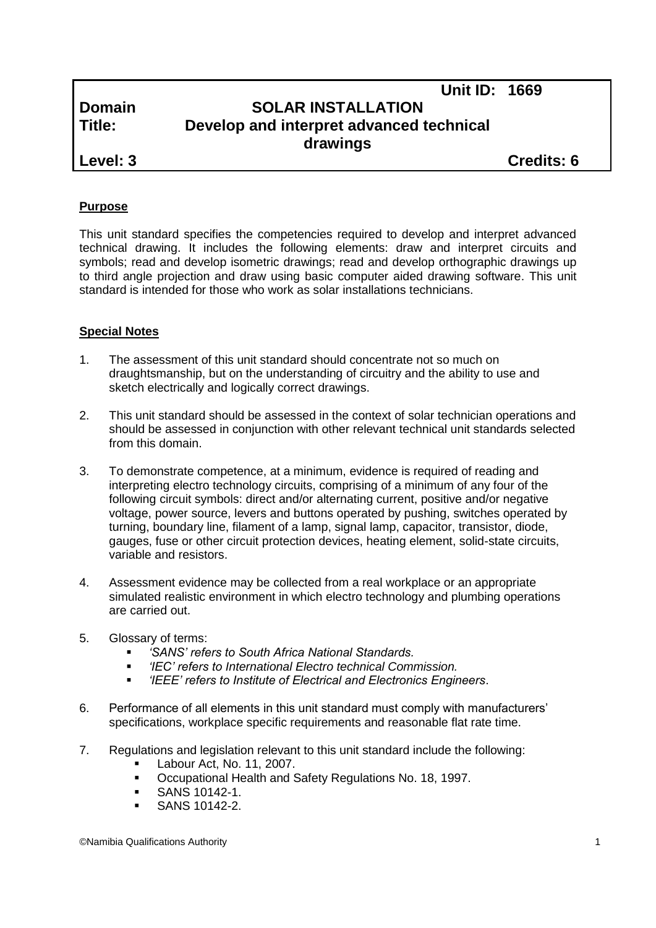| <b>Domain</b> | UIIILID. IUUJ<br><b>SOLAR INSTALLATION</b> |                   |
|---------------|--------------------------------------------|-------------------|
| Title:        | Develop and interpret advanced technical   |                   |
|               | drawings                                   |                   |
| Level: 3      |                                            | <b>Credits: 6</b> |

**Unit ID: 1669**

# **Purpose**

This unit standard specifies the competencies required to develop and interpret advanced technical drawing. It includes the following elements: draw and interpret circuits and symbols; read and develop isometric drawings; read and develop orthographic drawings up to third angle projection and draw using basic computer aided drawing software. This unit standard is intended for those who work as solar installations technicians.

## **Special Notes**

- 1. The assessment of this unit standard should concentrate not so much on draughtsmanship, but on the understanding of circuitry and the ability to use and sketch electrically and logically correct drawings.
- 2. This unit standard should be assessed in the context of solar technician operations and should be assessed in conjunction with other relevant technical unit standards selected from this domain.
- 3. To demonstrate competence, at a minimum, evidence is required of reading and interpreting electro technology circuits, comprising of a minimum of any four of the following circuit symbols: direct and/or alternating current, positive and/or negative voltage, power source, levers and buttons operated by pushing, switches operated by turning, boundary line, filament of a lamp, signal lamp, capacitor, transistor, diode, gauges, fuse or other circuit protection devices, heating element, solid-state circuits, variable and resistors.
- 4. Assessment evidence may be collected from a real workplace or an appropriate simulated realistic environment in which electro technology and plumbing operations are carried out.
- 5. Glossary of terms:
	- *'SANS' refers to South Africa National Standards.*
	- *'IEC' refers to International Electro technical Commission.*
	- *'IEEE' refers to Institute of Electrical and Electronics Engineers*.
- 6. Performance of all elements in this unit standard must comply with manufacturers' specifications, workplace specific requirements and reasonable flat rate time.
- 7. Regulations and legislation relevant to this unit standard include the following:
	- Labour Act, No. 11, 2007.
	- Occupational Health and Safety Regulations No. 18, 1997.
	- **SANS 10142-1.**
	- SANS 10142-2.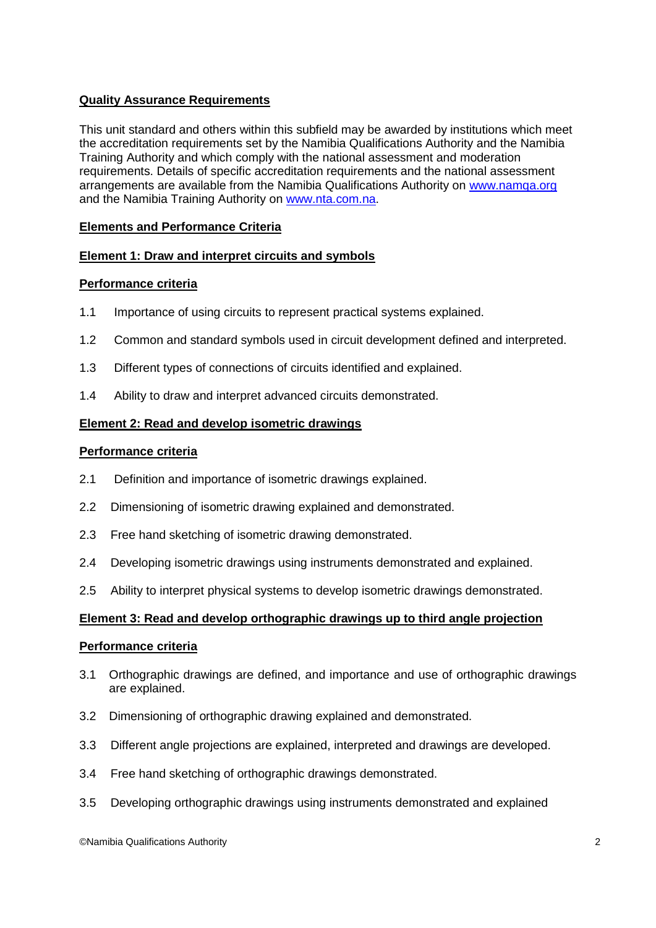# **Quality Assurance Requirements**

This unit standard and others within this subfield may be awarded by institutions which meet the accreditation requirements set by the Namibia Qualifications Authority and the Namibia Training Authority and which comply with the national assessment and moderation requirements. Details of specific accreditation requirements and the national assessment arrangements are available from the Namibia Qualifications Authority on [www.namqa.org](http://www.namqa.org/) and the Namibia Training Authority on [www.nta.com.na.](http://www.nta.com.na/)

# **Elements and Performance Criteria**

## **Element 1: Draw and interpret circuits and symbols**

## **Performance criteria**

- 1.1 Importance of using circuits to represent practical systems explained.
- 1.2 Common and standard symbols used in circuit development defined and interpreted.
- 1.3 Different types of connections of circuits identified and explained.
- 1.4 Ability to draw and interpret advanced circuits demonstrated.

## **Element 2: Read and develop isometric drawings**

## **Performance criteria**

- 2.1 Definition and importance of isometric drawings explained.
- 2.2 Dimensioning of isometric drawing explained and demonstrated.
- 2.3 Free hand sketching of isometric drawing demonstrated.
- 2.4 Developing isometric drawings using instruments demonstrated and explained.
- 2.5 Ability to interpret physical systems to develop isometric drawings demonstrated.

#### **Element 3: Read and develop orthographic drawings up to third angle projection**

#### **Performance criteria**

- 3.1 Orthographic drawings are defined, and importance and use of orthographic drawings are explained.
- 3.2 Dimensioning of orthographic drawing explained and demonstrated.
- 3.3 Different angle projections are explained, interpreted and drawings are developed.
- 3.4 Free hand sketching of orthographic drawings demonstrated.
- 3.5 Developing orthographic drawings using instruments demonstrated and explained